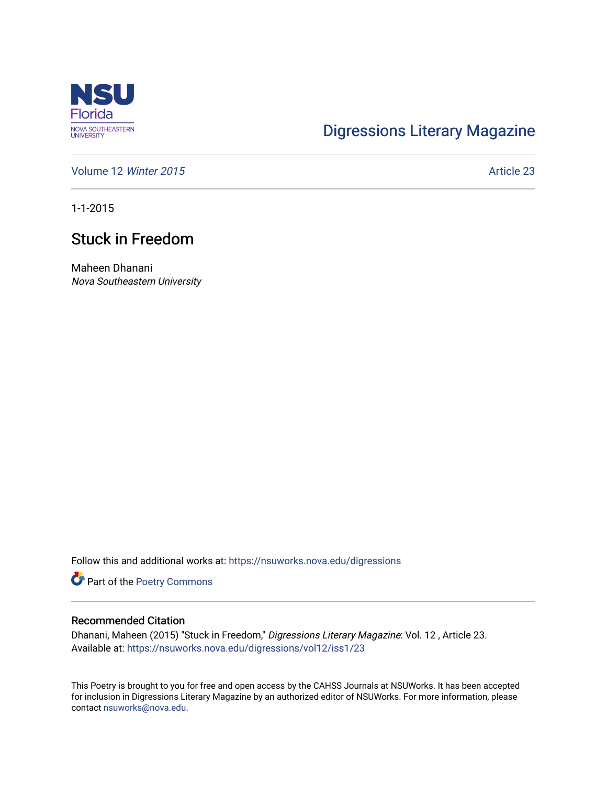

## [Digressions Literary Magazine](https://nsuworks.nova.edu/digressions)

[Volume 12](https://nsuworks.nova.edu/digressions/vol12) Winter 2015 **Article 23** Article 23

1-1-2015

## Stuck in Freedom

Maheen Dhanani Nova Southeastern University

Follow this and additional works at: [https://nsuworks.nova.edu/digressions](https://nsuworks.nova.edu/digressions?utm_source=nsuworks.nova.edu%2Fdigressions%2Fvol12%2Fiss1%2F23&utm_medium=PDF&utm_campaign=PDFCoverPages) 

Part of the [Poetry Commons](http://network.bepress.com/hgg/discipline/1153?utm_source=nsuworks.nova.edu%2Fdigressions%2Fvol12%2Fiss1%2F23&utm_medium=PDF&utm_campaign=PDFCoverPages) 

#### Recommended Citation

Dhanani, Maheen (2015) "Stuck in Freedom," Digressions Literary Magazine: Vol. 12 , Article 23. Available at: [https://nsuworks.nova.edu/digressions/vol12/iss1/23](https://nsuworks.nova.edu/digressions/vol12/iss1/23?utm_source=nsuworks.nova.edu%2Fdigressions%2Fvol12%2Fiss1%2F23&utm_medium=PDF&utm_campaign=PDFCoverPages)

This Poetry is brought to you for free and open access by the CAHSS Journals at NSUWorks. It has been accepted for inclusion in Digressions Literary Magazine by an authorized editor of NSUWorks. For more information, please contact [nsuworks@nova.edu.](mailto:nsuworks@nova.edu)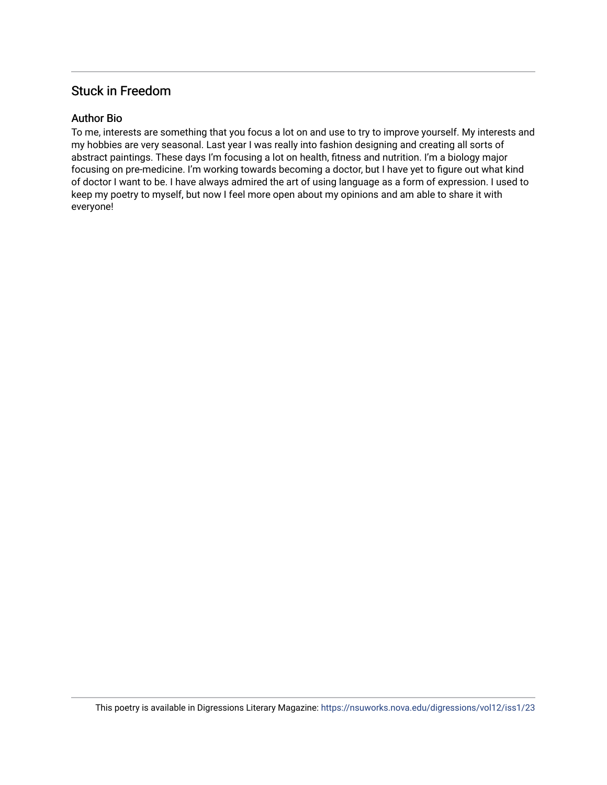## Stuck in Freedom

### Author Bio

To me, interests are something that you focus a lot on and use to try to improve yourself. My interests and my hobbies are very seasonal. Last year I was really into fashion designing and creating all sorts of abstract paintings. These days I'm focusing a lot on health, fitness and nutrition. I'm a biology major focusing on pre-medicine. I'm working towards becoming a doctor, but I have yet to figure out what kind of doctor I want to be. I have always admired the art of using language as a form of expression. I used to keep my poetry to myself, but now I feel more open about my opinions and am able to share it with everyone!